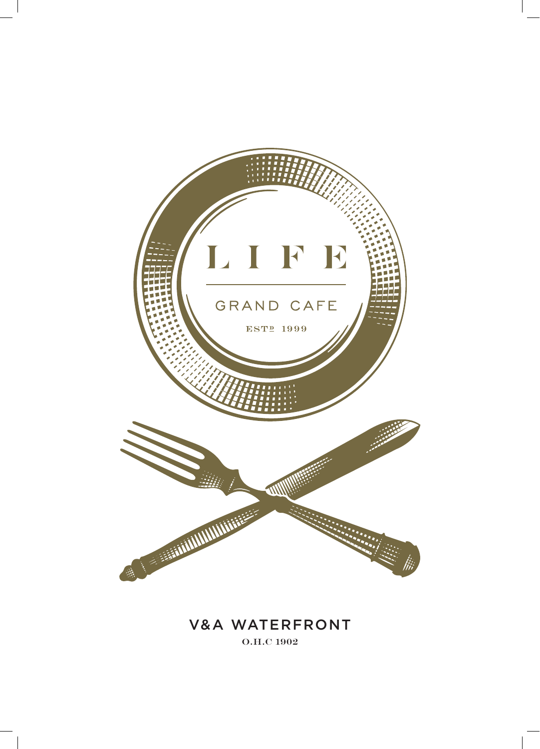

# V&A WATERFRONT O.H.C 1902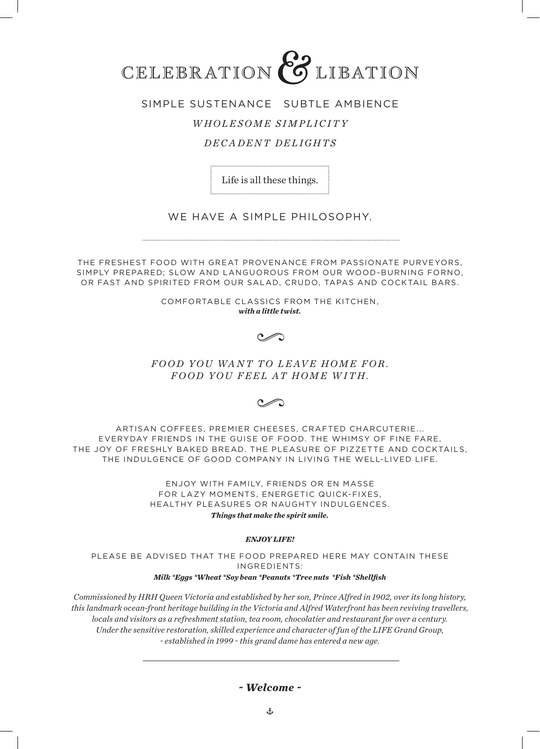

## SIMPLE SUSTENANCE SUBTLE AMBIENCE

## *WHOLESOME SIMPLICITY*

## *DECADENT DELIGHTS*

Life is all these things. 

## WE HAVE A SIMPLE PHILOSOPHY.

THE FRESHEST FOOD WITH GREAT PROVENANCE FROM PASSIONATE PURVEYORS, SIMPLY PREPARED; SLOW AND LANGUOROUS FROM OUR WOOD-BURNING FORNO, OR FAST AND SPIRITED FROM OUR SALAD, CRUDO, TAPAS AND COCKTAIL BARS.

> COMFORTABLE CLASSICS FROM THE KITCHEN, *with a little twist.*

> > $\sim$

FOOD YOU WANT TO LEAVE HOME FOR. *FOOD YOU FEEL AT HOME WITH.*

ARTISAN COFFEES, PREMIER CHEESES, CRAFTED CHARCUTERIE... EVERYDAY FRIENDS IN THE GUISE OF FOOD. THE WHIMSY OF FINE FARE, THE JOY OF FRESHLY BAKED BREAD. THE PLEASURE OF PIZZETTE AND COCKTAILS, THE INDULGENCE OF GOOD COMPANY IN LIVING THE WELL-LIVED LIFE.

> ENJOY WITH FAMILY, FRIENDS OR EN MASSE FOR LAZY MOMENTS, ENERGETIC QUICK-FIXES, HEALTHY PLEASURES OR NAUGHTY INDULGENCES. *Things that make the spirit smile.*

#### *ENJOY LIFE!*

PLEASE BE ADVISED THAT THE FOOD PREPARED HERE MAY CONTAIN THESE INGREDIENTS:

## *Milk \*Eggs \*Wheat \*Soy bean \*Peanuts \*Tree nuts \*Fish \*Shellfish*

*Commissioned by HRH Queen Victoria and established by her son, Prince Alfred in 1902, over its long history, this landmark ocean-front heritage building in the Victoria and Alfred Waterfront has been reviving travellers, locals and visitors as a refreshment station, tea room, chocolatier and restaurant for over a century. Under the sensitive restoration, skilled experience and character of fun of the LIFE Grand Group, ~ established in 1999 ~ this grand dame has entered a new age.*

## *~ Welcome ~*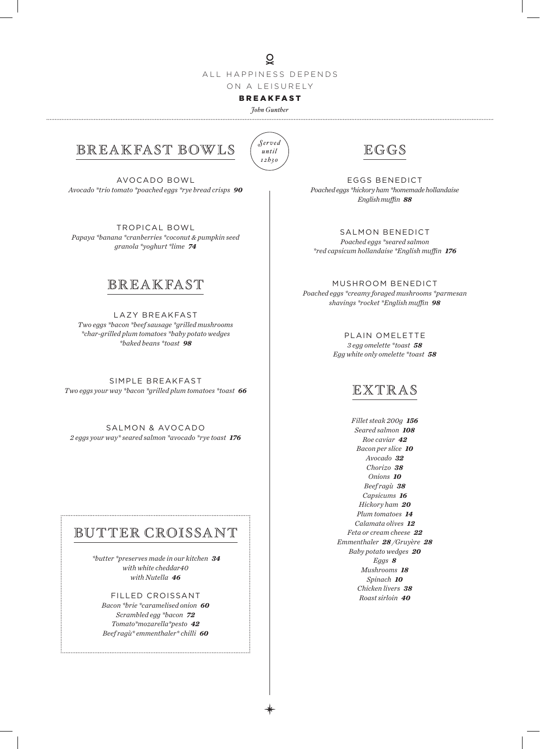$\overline{Q}$ ALL HAPPINESS DEPENDS ON A LEISURELY

## BREAKFAST

*John Gunther* 



# BREAKFAST BOWLS

AVOCADO BOWL *Avocado \*trio tomato \*poached eggs \*rye bread crisps 90*

TROPICAL BOWL *Papaya \*banana \*cranberries \*coconut & pumpkin seed granola \*yoghurt \*lime 74*

# **BREAKFAST**

LAZY BREAKFAST *Two eggs \*bacon \*beef sausage \*grilled mushrooms \*char-grilled plum tomatoes \*baby potato wedges \*baked beans \*toast 98*

SIMPLE BREAKFAST *Two eggs your way \*bacon \*grilled plum tomatoes \*toast 66*

SALMON & AVOCADO *2 eggs your way\* seared salmon \*avocado \*rye toast 176*

## BUTTER CROISSANT

 *\*butter \*preserves made in our kitchen 34 with white cheddar40 with Nutella 46*

FILLED CROISSANT *Bacon \*brie \*caramelised onion 60 Scrambled egg \*bacon 72 Tomato\*mozarella\*pesto 42 Beef ragù\* emmenthaler\* chilli 60*



EGGS BENEDICT *Poached eggs \*hickory ham \*homemade hollandaise English muffin 88*

SALMON BENEDICT *Poached eggs \*seared salmon \*red capsicum hollandaise \*English muffin 176*

MUSHROOM BENEDICT *Poached eggs \*creamy foraged mushrooms \*parmesan shavings \*rocket \*English muffin 98*

> PLAIN OMELETTE *3 egg omelette \*toast 58 Egg white only omelette \*toast 58*

## EXTRAS

*Fillet steak 200g 156 Seared salmon 108 Roe caviar 42 Bacon per slice 10 Avocado 32 Chorizo 38 Onions 10 Beef ragù 38 Capsicums 16 Hickory ham 20 Plum tomatoes 14 Calamata olives 12 Feta or cream cheese 22 Emmenthaler 28 /Gruyère 28 Baby potato wedges 20 Eggs 8 Mushrooms 18 Spinach 10 Chicken livers 38 Roast sirloin 40*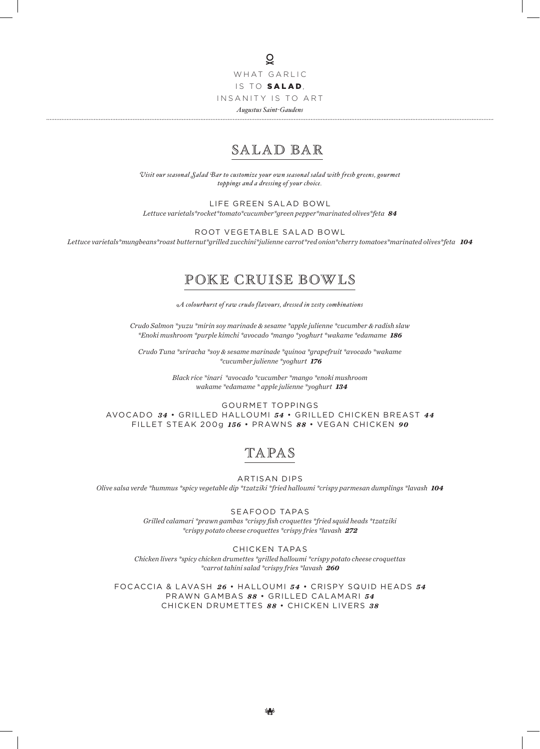## $\overline{Q}$ WHAT GARLIC IS TO SALAD, INSANITY IS TO ART *Augustus Saint-Gaudens*

# SALAD BAR

*Visit our seasonal Salad Bar to customize your own seasonal salad with fresh greens, gourmet toppings and a dressing of your choice.*

LIFE GREEN SALAD BOWL

*Lettuce varietals\*rocket\*tomato\*cucumber\*green pepper\*marinated olives\*feta 84*

ROOT VEGETABLE SALAD BOWL

*Lettuce varietals\*mungbeans\*roast butternut\*grilled zucchini\*julienne carrot\*red onion\*cherry tomatoes\*marinated olives\*feta 104*

# POKE CRUISE BOWLS

*A colourburst of raw crudo flavours, dressed in zesty combinations*

*Crudo Salmon \*yuzu \*mirin soy marinade & sesame \*apple julienne \*cucumber & radish slaw \*Enoki mushroom \*purple kimchi \*avocado \*mango \*yoghurt \*wakame \*edamame 186*

*Crudo Tuna \*sriracha \*soy & sesame marinade \*quinoa \*grapefruit \*avocado \*wakame \*cucumber julienne \*yoghurt 176*

> *Black rice \*inari \*avocado \*cucumber \*mango \*enoki mushroom wakame \*edamame \* apple julienne \*yoghurt 134*

GOURMET TOPPINGS AVOCADO *3 4* • GRILLED HALLOUMI *54* • GRILLED CHICKEN BREAST *4 4* FILLET STEAK 200g *156* • PRAWNS *88* • VEGAN CHICKEN *90*

# TAPAS

ARTISAN DIPS *Olive salsa verde \*hummus \*spicy vegetable dip \*tzatziki \*fried halloumi \*crispy parmesan dumplings \*lavash 104*

> SEAFOOD TAPAS *Grilled calamari \*prawn gambas \*crispy fish croquettes \*fried squid heads \*tzatziki \*crispy potato cheese croquettes \*crispy fries \*lavash 272*

CHICKEN TAPAS *Chicken livers \*spicy chicken drumettes \*grilled halloumi \*crispy potato cheese croquettas \*carrot tahini salad \*crispy fries \*lavash 260*

FOCACCIA & LAVASH  $26 \cdot$  HALLOUMI  $54 \cdot$  CRISPY SQUID HEADS  $54$ PRAWN GAMBAS *8 8* • GRILLED CALAMARI *5 4* CHICKEN DRUMETTES *8 8* • CHICKEN LIVERS *3 8*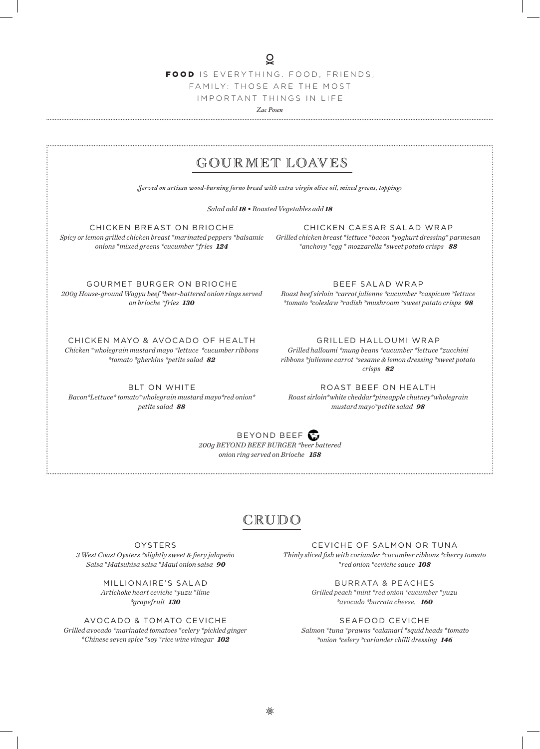FOOD IS EVERYTHING. FOOD, FRIENDS, FAMILY: THOSE ARE THE MOST IMPORTANT THINGS IN LIFE

*Zac Posen* 

# GOUR MET LOAVES

*Served on artisan wood-burning forno bread with extra virgin olive oil, mixed greens, toppings*

*Salad add 18 • Roasted Vegetables add 18*

CHICKEN BREAST ON BRIOCHE *Spicy or lemon grilled chicken breast \*marinated peppers \*balsamic onions \*mixed greens \*cucumber \*fries 124*

CHICKEN CAESAR SALAD WRAP *Grilled chicken breast \*lettuce \*bacon \*yoghurt dressing\* parmesan \*anchovy \*egg \* mozzarella \*sweet potato crisps 88*

GOURMET BURGER ON BRIOCHE *200g House-ground Wagyu beef \*beer-battered onion rings served on brioche \*fries 130*

CHICKEN MAYO & AVOCADO OF HEALTH *Chicken \*wholegrain mustard mayo \*lettuce \*cucumber ribbons \*tomato \*gherkins \*petite salad 82*

BLT ON WHITE *Bacon\*Lettuce\* tomato\*wholegrain mustard mayo\*red onion\* petite salad 88*

BEEF SALAD WRAP

*Roast beef sirloin \*carrot julienne \*cucumber \*caspicum \*lettuce \*tomato \*coleslaw \*radish \*mushroom \*sweet potato crisps 98*

GRILLED HALLOUMI WRAP

*Grilled halloumi \*mung beans \*cucumber \*lettuce \*zucchini ribbons \*julienne carrot \*sesame & lemon dressing \*sweet potato crisps 82*

ROAST BEEF ON HEALTH *Roast sirloin\*white cheddar\*pineapple chutney\*wholegrain mustard mayo\*petite salad 98*

BEYOND BEEF *200g BEYOND BEEF BURGER \*beer battered onion ring served on Brioche 158*

# CRUDO

OYSTERS *3 West Coast Oysters \*slightly sweet & fiery jalapeño Salsa \*Matsuhisa salsa \*Maui onion salsa 90*

> MILLIONAIRE'S SALAD *Artichoke heart ceviche \*yuzu \*lime \*grapefruit 130*

AVOCADO & TOMATO CEVICHE *Grilled avocado \*marinated tomatoes \*celery \*pickled ginger \*Chinese seven spice \*soy \*rice wine vinegar 102*

CEVICHE OF SALMON OR TUNA *Thinly sliced fish with coriander \*cucumber ribbons \*cherry tomato \*red onion \*ceviche sauce 108*

> BURRATA & PEACHES *Grilled peach \*mint \*red onion \*cucumber \*yuzu \*avocado \*burrata cheese. 160*

SEAFOOD CEVICHE

 *Salmon \*tuna \*prawns \*calamari \*squid heads \*tomato \*onion \*celery \*coriander chilli dressing 146*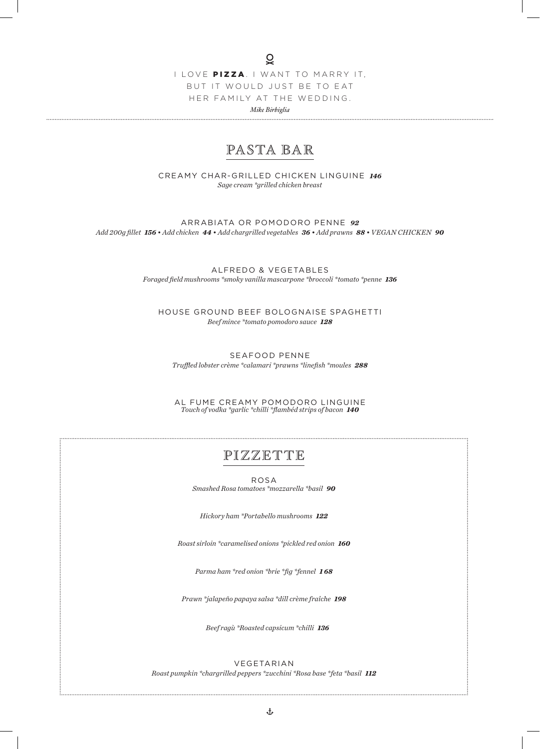I LOVE PIZZA . I WANT TO MARRY IT, BUT IT WOULD JUST BE TO EAT HER FAMILY AT THE WEDDING. *Mike Birbiglia*

# PASTA BAR

CREAMY CHAR-GRILLED CHICKEN LINGUINE *146 Sage cream \*grilled chicken breast*

ARRABIATA OR POMODORO PENNE *92 Add 200g fillet 156 • Add chicken 44 • Add chargrilled vegetables 36 • Add prawns 88 • VEGAN CHICKEN 90*

> ALFREDO & VEGETABLES *Foraged field mushrooms \*smoky vanilla mascarpone \*broccoli \*tomato \*penne 136*

HOUSE GROUND BEEF BOLOGNAISE SPAGHETTI *Beef mince \*tomato pomodoro sauce 128*

SEAFOOD PENNE *Truffled lobster crème \*calamari \*prawns \*linefish \*moules 288*

AL FUME CREAMY POMODORO LINGUINE *Touch of vodka \*garlic \*chilli \*flambéd strips of bacon 140*

# PIZZETTE

ROSA *Smashed Rosa tomatoes \*mozzarella \*basil 90*

*Hickory ham \*Portabello mushrooms 122*

*Roast sirloin \*caramelised onions \*pickled red onion 160*

*Parma ham \*red onion \*brie \*fig \*fennel 1 68*

*Prawn \*jalapeño papaya salsa \*dill crème fraîche 198*

 *Beef ragù \*Roasted capsicum \*chilli 136*

VEGETARIAN *Roast pumpkin \*chargrilled peppers \*zucchini \*Rosa base \*feta \*basil 112*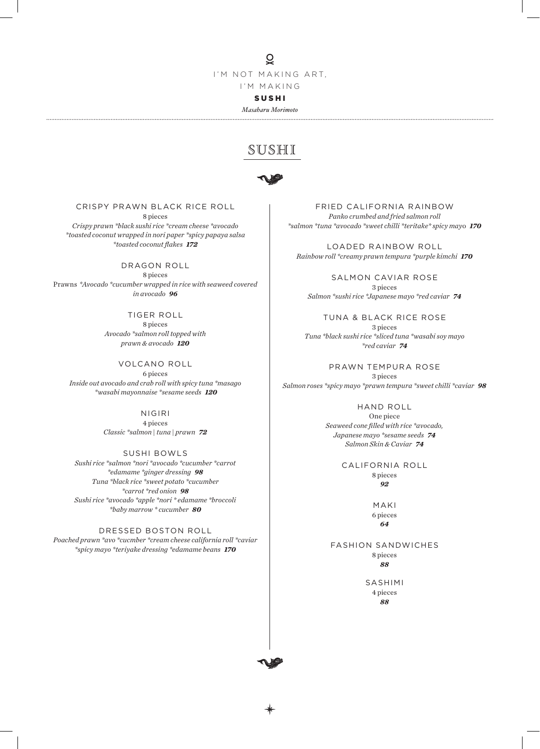## $\overline{Q}$

I'M NOT MAKING ART, I'M MAKING

SUSHI

*Masaharu Morimoto* 

# SUSHI



CRISPY PRAWN BLACK RICE ROLL 8 pieces

*Crispy prawn \*black sushi rice \*cream cheese \*avocado \*toasted coconut wrapped in nori paper \*spicy papaya salsa \*toasted coconut flakes 172*

DRAGON ROLL 8 pieces Prawns \**Avocado \*cucumber wrapped in rice with seaweed covered in avocado 96*

> TIGER ROLL 8 pieces *Avocado \*salmon roll topped with prawn & avocado 120*

VOLCANO ROLL 6 pieces *Inside out avocado and crab roll with spicy tuna \*masago \*wasabi mayonnaise \*sesame seeds 120*

> NIGIRI 4 pieces *Classic \*salmon | tuna | prawn 72*

SUSHI BOWLS *Sushi rice \*salmon \*nori \*avocado \*cucumber \*carrot \*edamame \*ginger dressing 98 Tuna \*black rice \*sweet potato \*cucumber \*carrot \*red onion 98 Sushi rice \*avocado \*apple \*nori \* edamame \*broccoli \*baby marrow \* cucumber 80*

DRESSED BOSTON ROLL *Poached prawn \*avo \*cucmber \*cream cheese california roll \*caviar \*spicy mayo \*teriyake dressing \*edamame beans 170*

FRIED CALIFORNIA RAINBOW *Panko crumbed and fried salmon roll \*salmon \*tuna \*avocado \*sweet chilli \*teritake\* spicy may*o *170*

LOADED RAINBOW ROLL *Rainbow roll \*creamy prawn tempura \*purple kimchi 170*

SALMON CAVIAR ROSE 3 pieces *Salmon \*sushi rice \*Japanese mayo \*red caviar 74*

TUNA & BLACK RICE ROSE 3 pieces *Tuna \*black sushi rice \*sliced tuna \*wasabi soy mayo \*red caviar 74*

PRAWN TEMPURA ROSE 3 pieces *Salmon roses \*spicy mayo \*prawn tempura \*sweet chilli \*caviar 98*

> HAND ROLL One piece *Seaweed cone filled with rice \*avocado, Japanese mayo \*sesame seeds 74 Salmon Skin & Caviar 74*

> > CALIFORNIA ROLL 8 pieces *92*

> > > MAKI 6 pieces *64*

FASHION SANDWICHES 8 pieces *88*

> SASHIMI 4 pieces *88*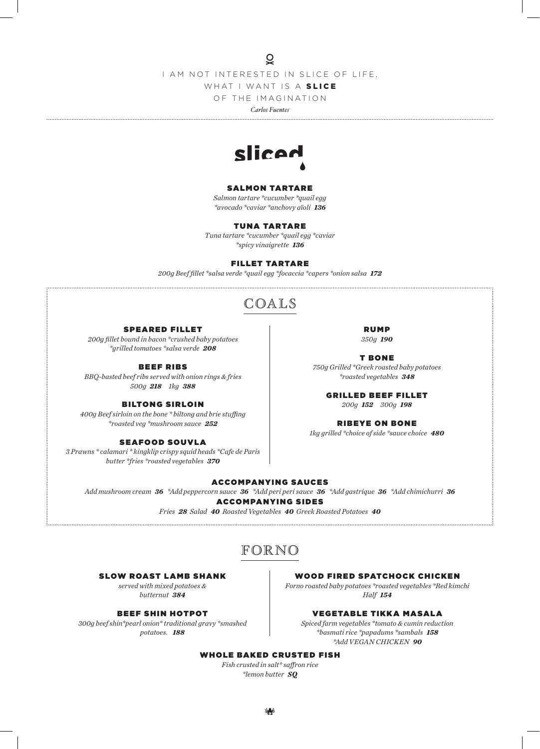$\overline{Q}$ 

I AM NOT INTERESTED IN SLICE OF LIFE,

WHAT I WANT IS A SLICE

OF THE IMAGINATION

*Carlos Fuentes*



#### SALMON TARTARE

*Salmon tartare \*cucumber \*quail egg \*avocado \*caviar \*anchovy aïoli 136*

#### TUNA TARTARE

*Tuna tartare \*cucumber \*quail egg \*caviar \*spicy vinaigrette 136*

#### FILLET TARTARE

*200g Beef fillet \*salsa verde \*quail egg \*focaccia \*capers \*onion salsa 172*

# COALS

#### SPEARED FILLET

*200g fillet bound in bacon \*crushed baby potatoes \*grilled tomatoes \*salsa verde 208*

BEEF RIBS

*BBQ-basted beef ribs served with onion rings & fries 500g 218 1kg 388*

#### BILTONG SIRLOIN

*400g Beef sirloin on the bone \* biltong and brie stuffing \*roasted veg \*mushroom sauce 252*

#### SEAFOOD SOUVLA

*3 Prawns \* calamari \* kingklip crispy squid heads \*Cafe de Paris butter \*fries \*roasted vegetables 370*

RUMP *350g 190*

T BONE *750g Grilled \*Greek roasted baby potatoes \*roasted vegetables 348*

GRILLED BEEF FILLET *200g 152 300g 198*

RIBEYE ON BONE

*1kg grilled \*choice of side \*sauce choice 480*

#### ACCOMPANYING SAUCES

*Add mushroom cream 36 \*Add peppercorn sauce 36 \*Add peri peri sauce 36 \*Add gastrique 36 \*Add chimichurri 36* ACCOMPANYING SIDES

> *Fries 28 Salad 40 Roasted Vegetables 40 Greek Roasted Potatoes 40*

# FORNO

#### SLOW ROAST LAMB SHANK

*served with mixed potatoes & butternut 384*

#### BEEF SHIN HOTPOT

*300g beef shin\*pearl onion\* traditional gravy \*smashed potatoes. 188*

WOOD FIRED SPATCHOCK CHICKEN

*Forno roasted baby potatoes \*roasted vegetables \*Red kimchi Half 154*

#### VEGETABLE TIKKA MASALA

*Spiced farm vegetables \*tomato & cumin reduction \*basmati rice \*papadums \*sambals 158 \*Add VEGAN CHICKEN 90*

## WHOLE BAKED CRUSTED FISH

*Fish crusted in salt\* saffron rice \*lemon butter SQ*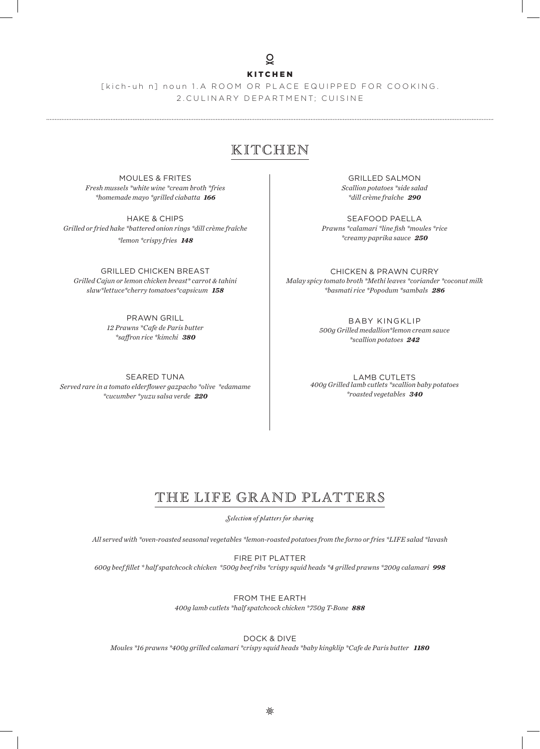## $\overline{Q}$

### KITCHEN

[kich-uh n] noun 1.A ROOM OR PLACE EQUIPPED FOR COOKING. 2.CULINARY DEPARTMENT; CUISINE

## KITCHEN

MOULES & FRITES *Fresh mussels \*white wine \*cream broth \*fries \*homemade mayo \*grilled ciabatta 166*

HAKE & CHIPS *Grilled or fried hake \*battered onion rings \*dill crème fraîche \*lemon \*crispy fries 148*

GRILLED CHICKEN BREAST *Grilled Cajun or lemon chicken breast\* carrot & tahini slaw\*lettuce\*cherry tomatoes\*capsicum 158*

> PRAWN GRILL *12 Prawns \*Cafe de Paris butter \*saffron rice \*kimchi 380*

SEARED TUNA *Served rare in a tomato elderflower gazpacho \*olive \*edamame \*cucumber \*yuzu salsa verde 220*

GRILLED SALMON *Scallion potatoes \*side salad \*dill crème fraîche 290*

SEAFOOD PAELLA *Prawns \*calamari \*line fish \*moules \*rice \*creamy paprika sauce 250*

CHICKEN & PRAWN CURRY *Malay spicy tomato broth \*Methi leaves \*coriander \*coconut milk \*basmati rice \*Popodum \*sambals 286*

> BABY KINGKLIP *500g Grilled medallion\*lemon cream sauce \*scallion potatoes 242*

LAMB CUTLETS *400g Grilled lamb cutlets \*scallion baby potatoes \*roasted vegetables 340*

# THE LIFE GRAND PLATTERS

*Selection of platters for sharing*

*All served with \*oven-roasted seasonal vegetables \*lemon-roasted potatoes from the forno or fries \*LIFE salad \*lavash*

FIRE PIT PLATTER *600g beef fillet \* half spatchcock chicken \*500g beef ribs \*crispy squid heads \*4 grilled prawns \*200g calamari 998*

> FROM THE EARTH *400g lamb cutlets \*half spatchcock chicken \*750g T-Bone 888*

> > DOCK & DIVE

*Moules \*16 prawns \*400g grilled calamari \*crispy squid heads \*baby kingklip \*Cafe de Paris butter 1180*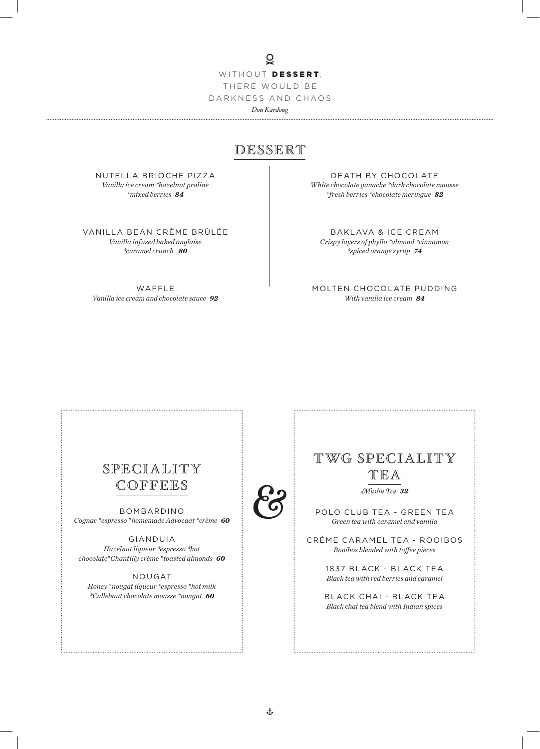WITHOUT DESSERT, THERE WOULD BE DARKNESS AND CHAOS *Don Kardong*

 $\overline{Q}$ 

# DESSERT

NUTELLA BRIOCHE PIZZA *Vanilla ice cream \*hazelnut praline \*mixed berries 84*

VANILLA BEAN CRÈME BRÛLÉE *Vanilla infused baked anglaise \*caramel crunch 80*

WAFFLE *Vanilla ice cream and chocolate sauce 92*

DEATH BY CHOCOLATE *White chocolate ganache \*dark chocolate mousse \*fresh berries \*chocolate meringue 82*

BAKLAVA & ICE CREAM *Crispy layers of phyllo \*almond \*cinnamon \*spiced orange syrup 74*

MOLTEN CHOCOLATE PUDDING *With vanilla ice cream 84*

# SPECIALITY COFFEES

BOMBARDINO *Cognac \*espresso \*homemade Advocaat \*crème 60*

GIANDUIA *Hazelnut liqueur \*espresso \*hot chocolate\*Chantilly crème \*toasted almonds 60*

NOUGAT *Honey \*nougat liqueur \*espresso \*hot milk \*Callebaut chocolate mousse \*nougat 60*



POLO CLUB TEA - GREEN TEA *Green tea with caramel and vanilla*

TWG SPECIALITY TEA *Muslin Tea 32*

CRÉME CARAMEL TEA - ROOIBOS *Rooibos blended with toffee pieces*

> 1837 BLACK - BLACK TEA *Black tea with red berries and caramel*

BLACK CHAI - BLACK TEA *Black chai tea blend with Indian spices*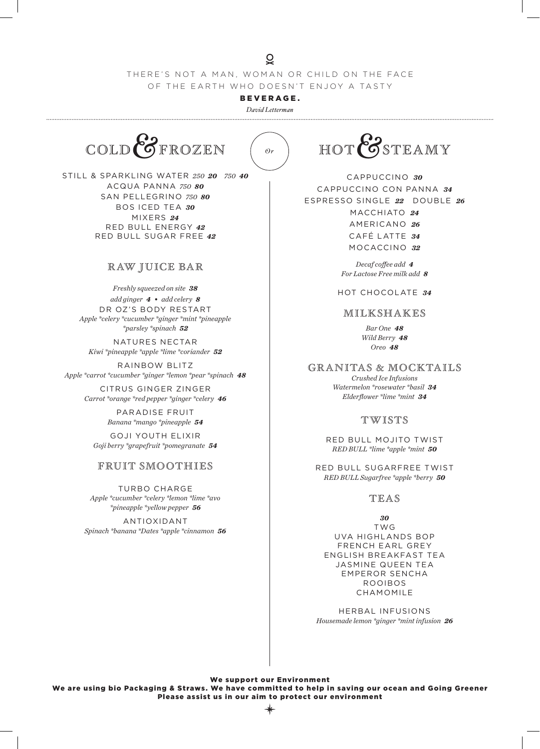## THERE'S NOT A MAN, WOMAN OR CHILD ON THE FACE OF THE EARTH WHO DOESN'T ENJOY A TASTY

 $\overline{Q}$ 

BEVERAGE.

*David Letterman* 



STILL & SPARKLING WATER *250 20 750 40* ACQUA PANNA *750 80* SAN PELLEGRINO *750 80* BOS ICED TEA *30* MIXERS *24* RED BULL ENERGY *42* RED BULL SUGAR FREE *42*

## R AW JUICE BAR

*Freshly squeezed on site 38 add ginger 4 • add celery 8* DR OZ'S BODY RESTART *Apple \*celery \*cucumber \*ginger \*mint \*pineapple \*parsley \*spinach 52*

NATURES NECTAR *Kiwi \*pineapple \*apple \*lime \*coriander 52*

RAINBOW BLITZ *Apple \*carrot \*cucumber \*ginger \*lemon \*pear \*spinach 48*

> CITRUS GINGER ZINGER *Carrot \*orange \*red pepper \*ginger \*celery 46*

> > PARADISE FRUIT *Banana \*mango \*pineapple 54*

GOJI YOUTH ELIXIR *Goji berry \*grapefruit \*pomegranate 54*

## FRUIT SMOOTHIES

TURBO CHARGE *Apple \*cucumber \*celery \*lemon \*lime \*avo \*pineapple \*yellow pepper 56*

ANTIOXIDANT *Spinach \*banana \*Dates \*apple \*cinnamon 56* HOT STEAMY

CAPPUCCINO *30* CAPPUCCINO CON PANNA *34* ESPRESSO SINGLE *22* DOUBLE *26* MACCHIATO *24* AMERICANO *26* CAFÉ LATTE *34* MOCACCINO *32*

> *Decaf coffee add 4 For Lactose Free milk add 8*

HOT CHOCOLATE *34*

## MILKSHAKES

*Bar One 48 Wild Berry 48 Oreo 48*

granitas & mocktails

*Crushed Ice Infusions Watermelon \*rosewater \*basil 34 Elderflower \*lime \*mint 34*

## twists

RED BULL MOJITO TWIST *RED BULL \*lime \*apple \*mint 50*

RED BULL SUGARFREE TWIST *RED BULL Sugarfree \*apple \*berry 50*

## TEAS

*30* TWG UVA HIGHLANDS BOP FRENCH EARL GREY ENGLISH BREAKFAST TEA JASMINE QUEEN TEA EMPEROR SENCHA ROOIBOS CHAMOMILE

HERBAL INFUSIONS *Housemade lemon \*ginger \*mint infusion 26*

We support our Environment We are using bio Packaging & Straws. We have committed to help in saving our ocean and Going Greener Please assist us in our aim to protect our environment